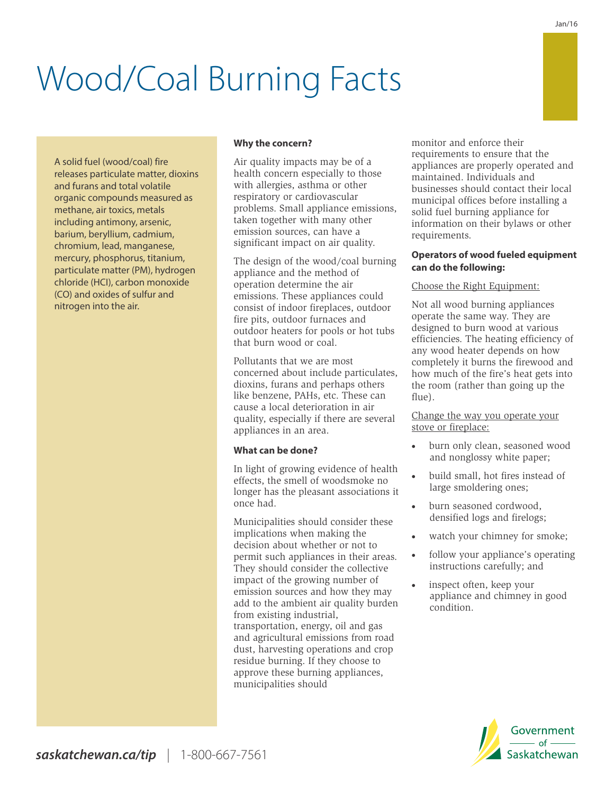# Wood/Coal Burning Facts

A solid fuel (wood/coal) fire releases particulate matter, dioxins and furans and total volatile organic compounds measured as methane, air toxics, metals including antimony, arsenic, barium, beryllium, cadmium, chromium, lead, manganese, mercury, phosphorus, titanium, particulate matter (PM), hydrogen chloride (HCI), carbon monoxide (CO) and oxides of sulfur and nitrogen into the air.

# **Why the concern?**

Air quality impacts may be of a health concern especially to those with allergies, asthma or other respiratory or cardiovascular problems. Small appliance emissions, taken together with many other emission sources, can have a significant impact on air quality.

The design of the wood/coal burning appliance and the method of operation determine the air emissions. These appliances could consist of indoor fireplaces, outdoor fire pits, outdoor furnaces and outdoor heaters for pools or hot tubs that burn wood or coal.

Pollutants that we are most concerned about include particulates, dioxins, furans and perhaps others like benzene, PAHs, etc. These can cause a local deterioration in air quality, especially if there are several appliances in an area.

#### **What can be done?**

In light of growing evidence of health effects, the smell of woodsmoke no longer has the pleasant associations it once had.

Municipalities should consider these implications when making the decision about whether or not to permit such appliances in their areas. They should consider the collective impact of the growing number of emission sources and how they may add to the ambient air quality burden from existing industrial, transportation, energy, oil and gas and agricultural emissions from road dust, harvesting operations and crop residue burning. If they choose to approve these burning appliances, municipalities should

monitor and enforce their requirements to ensure that the appliances are properly operated and maintained. Individuals and businesses should contact their local municipal offices before installing a solid fuel burning appliance for information on their bylaws or other requirements.

# **Operators of wood fueled equipment can do the following:**

#### Choose the Right Equipment:

Not all wood burning appliances operate the same way. They are designed to burn wood at various efficiencies. The heating efficiency of any wood heater depends on how completely it burns the firewood and how much of the fire's heat gets into the room (rather than going up the flue).

Change the way you operate your stove or fireplace:

- burn only clean, seasoned wood and nonglossy white paper;
- build small, hot fires instead of large smoldering ones;
- burn seasoned cordwood, densified logs and firelogs;
- · watch your chimney for smoke;
- follow your appliance's operating instructions carefully; and
- inspect often, keep your appliance and chimney in good condition.